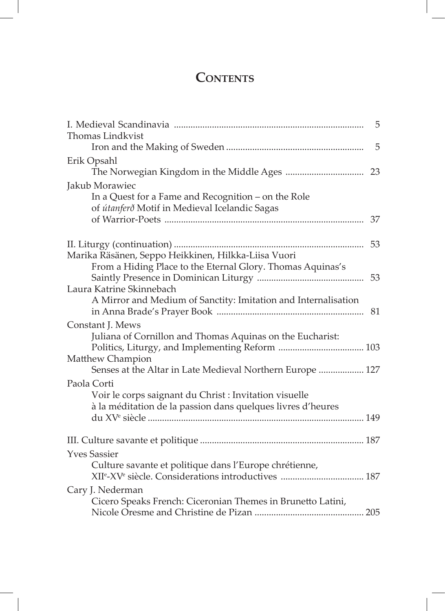## **CONTENTS**

|                                                                | 5  |
|----------------------------------------------------------------|----|
| <b>Thomas Lindkvist</b>                                        | 5  |
| Erik Opsahl                                                    |    |
| Jakub Morawiec                                                 |    |
| In a Quest for a Fame and Recognition – on the Role            |    |
| of útanferð Motif in Medieval Icelandic Sagas                  | 37 |
|                                                                | 53 |
| Marika Räsänen, Seppo Heikkinen, Hilkka-Liisa Vuori            |    |
| From a Hiding Place to the Eternal Glory. Thomas Aquinas's     | 53 |
| Laura Katrine Skinnebach                                       |    |
| A Mirror and Medium of Sanctity: Imitation and Internalisation |    |
|                                                                |    |
| Constant J. Mews                                               |    |
| Juliana of Cornillon and Thomas Aquinas on the Eucharist:      |    |
| Matthew Champion                                               |    |
| Senses at the Altar in Late Medieval Northern Europe  127      |    |
| Paola Corti                                                    |    |
| Voir le corps saignant du Christ : Invitation visuelle         |    |
| à la méditation de la passion dans quelques livres d'heures    |    |
|                                                                |    |
|                                                                |    |
| <b>Yves Sassier</b>                                            |    |
| Culture savante et politique dans l'Europe chrétienne,         |    |
|                                                                |    |
| Cary J. Nederman                                               |    |
| Cicero Speaks French: Ciceronian Themes in Brunetto Latini,    |    |
|                                                                |    |